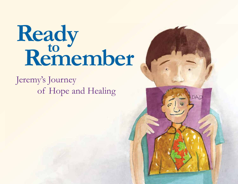# **Ready**  Remember

Jeremy's Journey of Hope and Healing

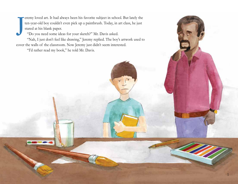**J** eremy loved art. It had always been his favorite subject in school. But lately the ten-year-old boy couldn't even pick up a paintbrush. Today, in art class, he just stared at his blank paper.

"Do you need some ideas for your sketch?" Mr. Davis asked.

"Nah, I just don't feel like drawing," Jeremy replied. The boy's artwork used to cover the walls of the classroom. Now Jeremy just didn't seem interested.

"I'd rather read my book," he told Mr. Davis.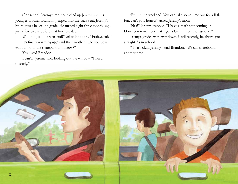After school, Jeremy's mother picked up Jeremy and his younger brother. Brandon jumped into the back seat. Jeremy's brother was in second grade. He turned eight three months ago, just a few weeks before that horrible day.

"Woo-hoo, it's the weekend!" yelled Brandon. "Fridays rule!" "It's finally warming up," said their mother. "Do you boys want to go to the skatepark tomorrow?"

"Yes!" said Brandon.

"I can't," Jeremy said, looking out the window. "I need to study."

"But it's the weekend. You can take some time out for a little fun, can't you, honey?" asked Jeremy's mom.

"NO!" Jeremy snapped. "I have a math test coming up. Don't you remember that I got a C-minus on the last one?"

Jeremy's grades were way down. Until recently, he always got straight As in school.

 "That's okay, Jeremy," said Brandon. "We can skateboard another time."

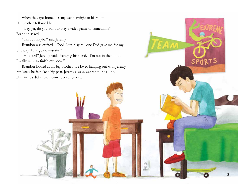When they got home, Jeremy went straight to his room. His brother followed him.

"Hey, Jer, do you want to play a video game or something?" Brandon asked.

"Um . . . maybe," said Jeremy.

Brandon was excited. "Cool! Let's play the one Dad gave me for my birthday! Let's go downstairs!"

"Hold on!" Jeremy said, changing his mind. "I'm not in the mood. I really want to finish my book."

Brandon looked at his big brother. He loved hanging out with Jeremy, but lately he felt like a big pest. Jeremy always wanted to be alone. His friends didn't even come over anymore.

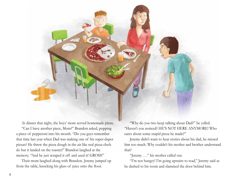At dinner that night, the boys' mom served homemade pizza. "Can I have another piece, Mom?" Brandon asked, popping a piece of pepperoni into his mouth. "Do you guys remember

that time last year when Dad was making one of his super-duper pizzas? He threw the pizza dough in the air like real pizza chefs do but it landed on the toaster!" Brandon laughed at the memory. "And he just scraped it off and used it! GROSS!"

Their mom laughed along with Brandon. Jeremy jumped up from the table, knocking his glass of juice onto the floor.

"Why do you two keep talking about Dad?" he yelled. "Haven't you noticed? HE'S NOT HERE ANYMORE! Who cares about some stupid pizza he made?"

Jeremy didn't want to hear stories about his dad, he missed him too much. Why couldn't his mother and brother understand that?

"Jeremy . . ." his mother called out.

"I'm not hungry! I'm going upstairs to read," Jeremy said as he dashed to his room and slammed the door behind him.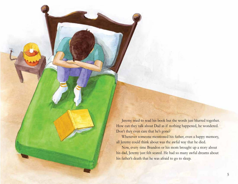Jeremy tried to read his book but the words just blurred together. How can they talk about Dad as if nothing happened, he wondered. Don't they even care that he's gone?

Whenever someone mentioned his father, even a happy memory, all Jeremy could think about was the awful way that he died.

Now, every time Brandon or his mom brought up a story about his dad, Jeremy just felt scared. He had so many awful dreams about his father's death that he was afraid to go to sleep.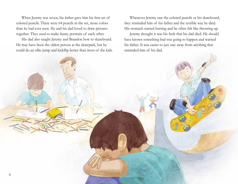When Jeremy was seven, his father gave him his first set of colored pencils. There were 64 pencils in the set, more colors than he had ever seen. He and his dad loved to draw pictures together. They used to make funny portraits of each other.

His dad also taught Jeremy and Brandon how to skateboard. He may have been the oldest person at the skatepark, but he could do an ollie-jump and kickflip better than most of the kids.

Whenever Jeremy saw the colored pencils or his skateboard, they reminded him of his father and the terrible way he died. His stomach started hurting and he often felt like throwing up.

Jeremy thought it was his fault that his dad died. He should have known something bad was going to happen and warned his father. It was easier to just stay away from anything that reminded him of his dad.

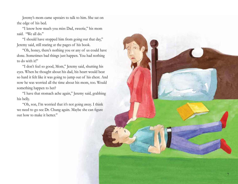Jeremy's mom came upstairs to talk to him. She sat on the edge of his bed.

"I know how much you miss Dad, sweetie," his mom said. "We all do."

"I should have stopped him from going out that day," Jeremy said, still staring at the pages of his book.

"Oh, honey, there's nothing you or any of us could have done. Sometimes bad things just happen. You had nothing to do with it!"

"I don't feel so good, Mom," Jeremy said, shutting his eyes. When he thought about his dad, his heart would beat so hard it felt like it was going to jump out of his chest. And now he was worried all the time about his mom, too. Would something happen to her?

"I have that stomach ache again," Jeremy said, grabbing his belly.

"Oh, son, I'm worried that it's not going away. I think we need to go see Dr. Chung again. Maybe she can figure out how to make it better."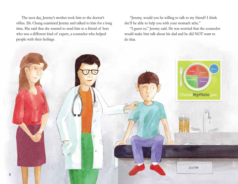The next day, Jeremy's mother took him to the doctor's office. Dr. Chung examined Jeremy and talked to him for a long time. She said that she wanted to send him to a friend of hers who was a different kind of expert, a counselor who helped people with their feelings.

"Jeremy, would you be willing to talk to my friend? I think she'll be able to help you with your stomach ache."

"I guess so," Jeremy said. He was worried that the counselor would make him talk about his dad and he did NOT want to do that.

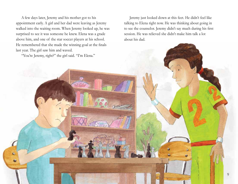A few days later, Jeremy and his mother got to his appointment early. A girl and her dad were leaving as Jeremy walked into the waiting room. When Jeremy looked up, he was surprised to see it was someone he knew. Elena was a grade above him, and one of the star soccer players at his school. He remembered that she made the winning goal at the finals last year. The girl saw him and waved.

"You're Jeremy, right?" the girl said. "I'm Elena."

Jeremy just looked down at this feet. He didn't feel like talking to Elena right now. He was thinking about going in to see the counselor. Jeremy didn't say much during his first session. He was relieved she didn't make him talk a lot about his dad.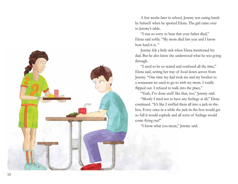

A few weeks later in school, Jeremy was eating lunch by himself when he spotted Elena. The girl came over to Jeremy's table.

"I was so sorry to hear that your father died," Elena said softly. "My mom died last year and I know how hard it is."

Jeremy felt a little sick when Elena mentioned his dad. But he also knew she understood what he was going through.

"I used to be so scared and confused all the time," Elena said, setting her tray of food down across from Jeremy. "One time my dad took me and my brother to a restaurant we used to go to with my mom. I totally flipped out. I refused to walk into the place."

"Yeah, I've done stuff like that, too," Jeremy said.

"Mostly I tried not to have any feelings at all," Elena continued. "It's like I stuffed them all into a jack-in-thebox. Every once in a while the jack-in-the-box would get so full it would explode and all sorts of feelings would come flying out!"

"I know what you mean," Jeremy said.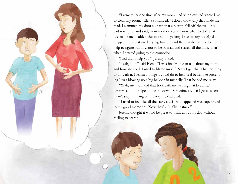"I remember one time after my mom died when my dad wanted me to clean my room," Elena continued. "I don't know why that made me mad. I slammed my door so hard that a picture fell off the wall! My dad was upset and said, 'your mother would know what to do.' That just made me madder. But instead of yelling, I started crying. My dad hugged me and started crying, too. He said that maybe we needed some help to figure out how not to be so mad and scared all the time. That's when I started going to the counselor."

"And did it help you?" Jeremy asked.

"Yeah, a lot," said Elena. "I was finally able to talk about my mom and how she died. I used to blame myself. Now I get that I had nothing to do with it. I learned things I could do to help feel better like pretending I was blowing up a big balloon in my belly. That helped me relax."

"Yeah, my mom did that trick with me last night at bedtime," Jeremy said. "It helped me calm down. Sometimes when I go to sleep I can't stop thinking of the way my dad died."

"I used to feel like all the scary stuff that happened was superglued to my good memories. Now they're finally unstuck!"

Jeremy thought it would be great to think about his dad without feeling so scared.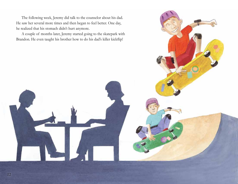The following week, Jeremy did talk to the counselor about his dad. He saw her several more times and then began to feel better. One day, he realized that his stomach didn't hurt anymore.

A couple of months later, Jeremy started going to the skatepark with Brandon. He even taught his brother how to do his dad's killer kickflip!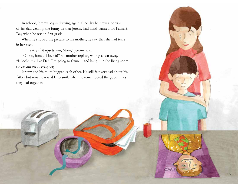In school, Jeremy began drawing again. One day he drew a portrait of his dad wearing the funny tie that Jeremy had hand-painted for Father's Day when he was in first grade.

When he showed the picture to his mother, he saw that she had tears in her eyes.

"I'm sorry if it upsets you, Mom," Jeremy said.

"Oh no, honey, I love it!" his mother replied, wiping a tear away. "It looks just like Dad! I'm going to frame it and hang it in the living room so we can see it every day!"

Jeremy and his mom hugged each other. He still felt very sad about his father but now he was able to smile when he remembered the good times they had together.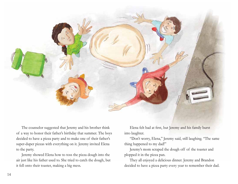

The counselor suggested that Jeremy and his brother think of a way to honor their father's birthday that summer. The boys decided to have a pizza party and to make one of their father's super-duper pizzas with everything on it. Jeremy invited Elena to the party.

Jeremy showed Elena how to toss the pizza dough into the air just like his father used to. She tried to catch the dough, but it fell onto their toaster, making a big mess.

Elena felt bad at first, but Jeremy and his family burst into laughter.

"Don't worry, Elena," Jeremy said, still laughing. "The same thing happened to my dad!"

Jeremy's mom scraped the dough off of the toaster and plopped it in the pizza pan.

They all enjoyed a delicious dinner. Jeremy and Brandon decided to have a pizza party every year to remember their dad.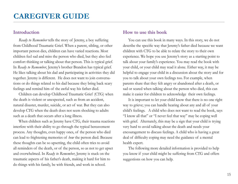# **Introduction**

*Ready to Remember* tells the story of Jeremy, a boy suffering from Childhood Traumatic Grief. When a parent, sibling, or other important person dies, children can have varied reactions. Most children feel sad and miss the person who died, but they also feel comfort thinking or talking about that person. This is typical grief. In *Ready to Remember*, Jeremy's brother Brandon has typical grief. He likes talking about his dad and participating in activities they did together. Jeremy is different. He does not want to join conversations or do things related to his dad because they bring back scary feelings and remind him of the awful way his father died.

Children can develop Childhood Traumatic Grief (CTG) when the death is violent or unexpected, such as from an accident, natural disaster, murder, suicide, or act of war. But they can also develop CTG when the death does not seem shocking to adults such as a death that occurs after a long illness.

When children such as Jeremy have CTG, their trauma reactions interfere with their ability to go through the typical bereavement process. Any thoughts, even happy ones, of the person who died can lead to frightening memories of *how* the person died. Because these thoughts can be so upsetting, the child often tries to avoid all reminders of the death, or of the person, so as not to get upset and overwhelmed. In *Ready to Remember*, Jeremy is stuck on the traumatic aspects of his father's death, making it hard for him to do things with his family, be with friends, and work in school.

## **How to use this book**

You can use this book in many ways. In this story, we do not describe the specific way that Jeremy's father died because we want children with CTG to be able to relate the story to their own experience. We hope you use Jeremy's story as a starting point to talk about your family's experience. You may read the book with your child, or your child may read it alone. Either way, it may be helpful to engage your child in a discussion about the story and for you to talk about your own feelings too. For example, when parents share that they felt angry or abandoned after a death, or sad or scared when talking about the person who died, this can make it easier for children to acknowledge their own feelings.

It is important to let your child know that there is no one right way to grieve; you can handle hearing about any and all of your child's feelings. A child who does not want to read the book, says "I know all that" or "I never feel that way" may be coping well with grief. Alternately, this may be a sign that your child is trying very hard to avoid talking about the death and needs your encouragement to discuss feelings. A child who is having a great deal of difficulty coping may need the guidance of a mental health expert.

The following more detailed information is provided to help you know if your child might be suffering from CTG and offers suggestions on how you can help.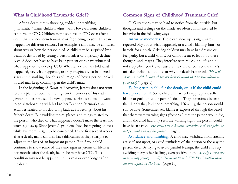## **What is Childhood Traumatic Grief ?**

After a death that is shocking, sudden, or terrifying ("traumatic") many children adjust well. However, some children can develop CTG. Children may also develop CTG even after a death that did not seem traumatic or frightening to you. This can happen for different reasons. For example, a child may be confused about why or how the person died. A child may be surprised by a death or disturbed by seeing a person suffer or physically decline. A child does not have to have been present or to have witnessed what happened to develop CTG. Whether a child was told what happened, saw what happened, or only imagines what happened, scary and disturbing thoughts and images of how a person looked or died may keep coming up in the child's mind.

In the beginning of *Ready to Remember*, Jeremy does not want to draw pictures because it brings back memories of his dad's giving him his first set of drawing pencils. He also does not want to go skateboarding with his brother Brandon. Memories and activities related to his dad bring back awful feelings about his father's death. But avoiding topics, places, and things related to the person who died or what happened doesn't make the fears and worries go away. Since Jeremy's problems have been going on for a while, his mom is right to be concerned. In the first several weeks after a death, many children have difficulties as they struggle to adjust to the loss of an important person. But if your child continues to show some of the same signs as Jeremy or Elena a few months after the death, he or she may have CTG. This condition may not be apparent until a year or even longer after the death.

#### **Common Signs of Childhood Traumatic Grief**

CTG reactions may be hard to notice from the outside, but thoughts and feelings on the inside are often communicated by behavior in the following ways.

**Intrusive memories:** These can show up as nightmares, repeated play about what happened, or a child's blaming him - or herself for a death. Grieving children may have bad dreams or feel guilty, but a child with CTG cannot seem to let go of these thoughts and images. They interfere with the child's life and do not stop when you try to reassure the child or correct the child's mistaken beliefs about how or why the death happened. *"He had so many awful dreams about his father's death that he was afraid to go to sleep"* (page 5)

**Feeling responsible for the death, or as if the child could have prevented it:** Some children may feel inappropriate selfblame or guilt about the person's death. They sometimes believe that if only they had done something differently, the person would still be alive. Sometimes self-blame is expressed through the belief that there were warning signs ("omens") that the person would die, and if the child had only seen the warning signs, the person could have been saved. *"He should have known something bad was going to happen and warned his father."* (page 6)

**Avoidance and numbing:** A child may withdraw from friends, act as if not upset, or avoid reminders of the person or the way the person died. By trying to avoid painful feelings, the child ends up avoiding many other feelings, even positive ones. *"Mostly I tried not to have any feelings at all," Elena continued. "It's like I stuffed them all into a jack-in-the box."* (page 10)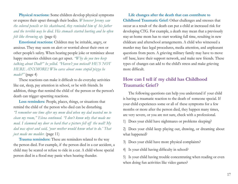**Physical reactions:** Some children develop physical symptoms or express their upset through their bodies. *Whenever Jeremy saw the colored pencils or his skateboard, they reminded him of his father and the terrible way he died. His stomach started hurting and he often felt like throwing up.* (page 6)

**Emotional reactions:** Children may be irritable, angry, or anxious. They may seem on alert or worried about their own or other people's safety. When hearing people joke or reminisce about happy memories children can get upset. *"Why do you two keep talking about Dad?" he yelled. "Haven't you noticed? HE'S NOT HERE ANYMORE! Who cares about some stupid pizza he made?"* (page 4)

These reactions can make it difficult to do everyday activities like eat, sleep, pay attention in school, or be with friends. In addition, things that remind the child of the person or the person's death can trigger upsetting reactions.

**Loss reminders:** People, places, things, or situations that remind the child of the person who died can be disturbing.

*"I remember one time after my mom died when my dad wanted me to clean my room," Elena continued. "I don't know why that made me mad. I slammed my door so hard that a picture fell off the wall! My dad was upset and said, 'your mother would know what to do.' That just made me madder.* (page 11)

**Trauma reminders:** These are reminders related to the way the person died. For example, if the person died in a car accident, a child may be scared or refuse to ride in a car. A child whose special person died in a flood may panic when hearing thunder.

**Life changes after the death that can contribute to Childhood Traumatic Grief:** Other challenges and stresses that occur as a result of the death can put a child at increased risk for developing CTG. For example, a death may mean that a previously stay-at-home mom has to start working full time, resulting in new childcare and afterschool arrangements. A child who witnessed a murder may face legal procedures, media attention, and unpleasant questions from peers. A grieving military family may have to move off base, leave their support network, and make new friends. These types of changes can add to the child's stress and make grieving more difficult.

# **How can I tell if my child has Childhood Traumatic Grief ?**

The following questions can help you understand if your child is having a traumatic reaction to the death of someone special. If your child experiences some or all of these symptoms for a few months or more after the person died, they happen many times, are very severe, or you are not sure, check with a professional.

1) Does your child have nightmares or problems sleeping?

2) Does your child keep playing out, drawing, or dreaming about what happened?

3) Does your child have more physical complaints?

4) Is your child having difficulty in school?

5) Is your child having trouble concentrating when reading or even when doing fun activities like video games?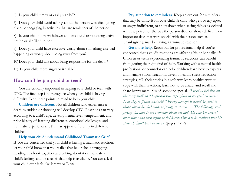6) Is your child jumpy or easily startled?

7) Does your child avoid talking about the person who died, going places, or engaging in activities that are reminders of the person?

8) Is your child more withdrawn and less joyful or not doing activities he or she liked to do?

9) Does your child have excessive worry about something else bad happening or worry about being away from you?

10) Does your child talk about being responsible for the death?

11) Is your child more angry or irritable?

## **How can I help my child or teen?**

You are critically important in helping your child or teen with CTG. The first step is to recognize when your child is having difficulty. Keep these points in mind to help your child.

**Children are different.** Not all children who experience a death as sudden or shocking will develop CTG. Reactions can vary according to a child's age, developmental level, temperament, and prior history of learning differences, emotional challenges, and traumatic experiences. CTG may appear differently in different children.

**Help your child understand Childhood Traumatic Grief.**  If you are concerned that your child is having a traumatic reaction, let your child know that you realize that he or she is struggling. Reading this book together and talking about it can validate a child's feelings and be a relief that help is available. You can ask if your child ever feels like Jeremy or Elena.

Pay attention to reminders. Keep an eye out for reminders that may be difficult for your child. A child who gets overly upset or angry, indifferent, or shuts down when seeing things associated with the person or the way the person died, or shows difficulty on important days that were special with the person such as Thanksgiving, may be having a traumatic reaction.

Get more help. Reach out for professional help if you're concerned that a child's reactions are affecting his or her daily life. Children or teens experiencing traumatic reactions can benefit from getting the right kind of help. Working with a mental health professional or counselor can help children learn how to express and manage strong reactions, develop healthy stress reduction strategies, tell their stories in a safe way, learn positive ways to cope with their reactions, learn not to be afraid, and recall and share happy memories of someone special. *"I used to feel like all the scary stuff that happened was superglued to my good memories. Now they're finally unstuck! " Jeremy thought it would be great to think about his dad without feeling so scared . . . The following week Jeremy did talk to the counselor about his dad. He saw her several more times and then began to feel better. One day he realized that his stomach didn't hurt anymore.* (pages 11-12)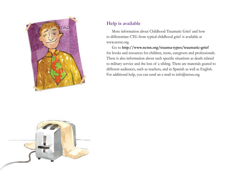

# **Help is available**

More information about Childhood Traumatic Grief and how to differentiate CTG from typical childhood grief is available at www.nctsn.org.

Go to **http://www.nctsn.org/trauma-types/traumatic-grief** for books and resources for children, teens, caregivers and professionals. There is also information about such specific situations as death related to military service and the loss of a sibling. There are materials geared to different audiences, such as teachers, and in Spanish as well as English. For additional help, you can send an e-mail to info@nctsn.org.